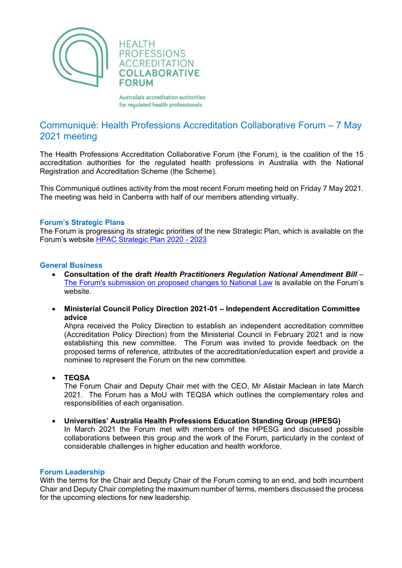

Australia's accreditation authorities for regulated health professionals

# Communiqué: Health Professions Accreditation Collaborative Forum – 7 May 2021 meeting

The Health Professions Accreditation Collaborative Forum (the Forum), is the coalition of the 15 accreditation authorities for the regulated health professions in Australia with the National Registration and Accreditation Scheme (the Scheme).

This Communiqué outlines activity from the most recent Forum meeting held on Friday 7 May 2021. The meeting was held in Canberra with half of our members attending virtually.

## **Forum's Strategic Plans**

The Forum is progressing its strategic priorities of the new Strategic Plan, which is available on the Forum's website [HPAC Strategic Plan 2020 -](http://hpacf.org.au/about/) 2023

## **General Business**

- **Consultation of the draft** *Health Practitioners Regulation National Amendment Bill* [–](http://hpacf.org.au/wp-content/uploads/2022/04/2020-05-10-HPACF-submission-changes-to-National-Law-1.pdf) [The Forum's submission on proposed changes to National Law](http://hpacf.org.au/wp-content/uploads/2022/04/2020-05-10-HPACF-submission-changes-to-National-Law-1.pdf) is available on the Forum's website.
- **Ministerial Council Policy Direction 2021-01 – Independent Accreditation Committee advice**

Ahpra received the Policy Direction to establish an independent accreditation committee (Accreditation Policy Direction) from the Ministerial Council in February 2021 and is now establishing this new committee. The Forum was invited to provide feedback on the proposed terms of reference, attributes of the accreditation/education expert and provide a nominee to represent the Forum on the new committee.

• **TEQSA**

The Forum Chair and Deputy Chair met with the CEO, Mr Alistair Maclean in late March 2021. The Forum has a MoU with TEQSA which outlines the complementary roles and responsibilities of each organisation.

• **Universities' Australia Health Professions Education Standing Group (HPESG)** In March 2021 the Forum met with members of the HPESG and discussed possible collaborations between this group and the work of the Forum, particularly in the context of considerable challenges in higher education and health workforce.

#### **Forum Leadership**

With the terms for the Chair and Deputy Chair of the Forum coming to an end, and both incumbent Chair and Deputy Chair completing the maximum number of terms, members discussed the process for the upcoming elections for new leadership.